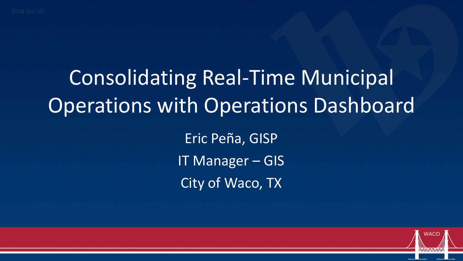# **Consolidating Real-Time Municipal Operations with Operations Dashboard**

Eric Peña, GISP IT Manager - GIS City of Waco, TX

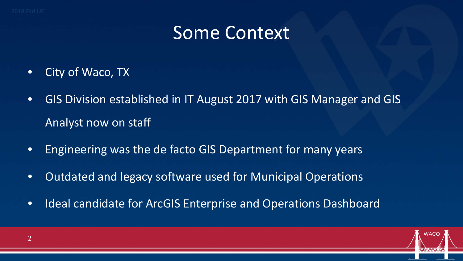## Some Context

- City of Waco, TX
- GIS Division established in IT August 2017 with GIS Manager and GIS Analyst now on staff
- Engineering was the de facto GIS Department for many years
- Outdated and legacy software used for Municipal Operations
- Ideal candidate for ArcGIS Enterprise and Operations Dashboard

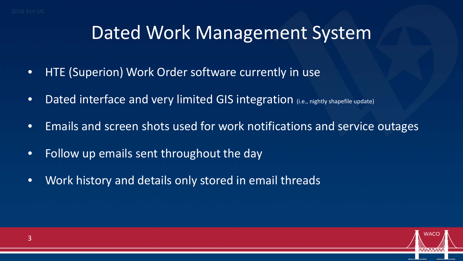#### Dated Work Management System

- HTE (Superion) Work Order software currently in use
- Dated interface and very limited GIS integration (i.e., nightly shapefile update)
- Emails and screen shots used for work notifications and service outages
- Follow up emails sent throughout the day
- Work history and details only stored in email threads

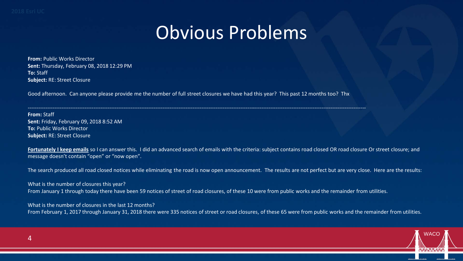## Obvious Problems

**From:** Public Works Director **Sent:** Thursday, February 08, 2018 12:29 PM **To:** Staff **Subject:** RE: Street Closure

Good afternoon. Can anyone please provide me the number of full street closures we have had this year? This past 12 months too? Thx

-----------------------------------------------------------------------------------------------------------------------------------------------------------------------------------------------

**From:** Staff **Sent:** Friday, February 09, 2018 8:52 AM **To:** Public Works Director **Subject:** RE: Street Closure

Fortunately I keep emails so I can answer this. I did an advanced search of emails with the criteria: subject contains road closed OR road closure Or street closure; and message doesn't contain "open" or "now open".

The search produced all road closed notices while eliminating the road is now open announcement. The results are not perfect but are very close. Here are the results:

What is the number of closures this year? From January 1 through today there have been 59 notices of street of road closures, of these 10 were from public works and the remainder from utilities.

What is the number of closures in the last 12 months? From February 1, 2017 through January 31, 2018 there were 335 notices of street or road closures, of these 65 were from public works and the remainder from utilities.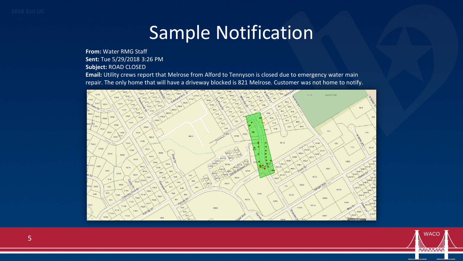# Sample Notification

**From:** Water RMG Staff **Sent:** Tue 5/29/2018 3:26 PM

**Subject:** ROAD CLOSED

**Email:** Utility crews report that Melrose from Alford to Tennyson is closed due to emergency water main repair. The only home that will have a driveway blocked is 821 Melrose. Customer was not home to notify.



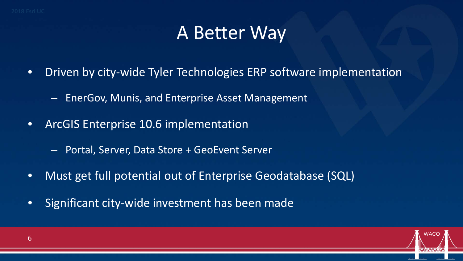# A Better Way

- Driven by city-wide Tyler Technologies ERP software implementation
	- EnerGov, Munis, and Enterprise Asset Management
- ArcGIS Enterprise 10.6 implementation
	- Portal, Server, Data Store + GeoEvent Server
- Must get full potential out of Enterprise Geodatabase (SQL)
- Significant city-wide investment has been made

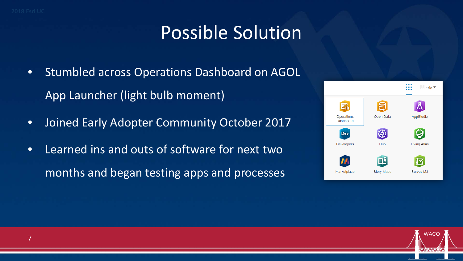### Possible Solution

- Stumbled across Operations Dashboard on AGOL App Launcher (light bulb moment)
- Joined Early Adopter Community October 2017
- Learned ins and outs of software for next two months and began testing apps and processes



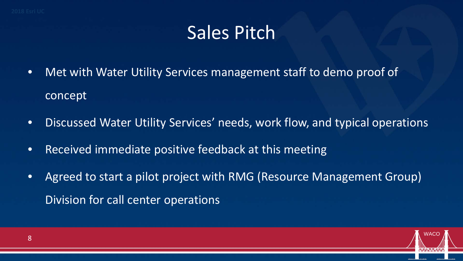# Sales Pitch

- Met with Water Utility Services management staff to demo proof of concept
- Discussed Water Utility Services' needs, work flow, and typical operations
- Received immediate positive feedback at this meeting
- Agreed to start a pilot project with RMG (Resource Management Group) Division for call center operations

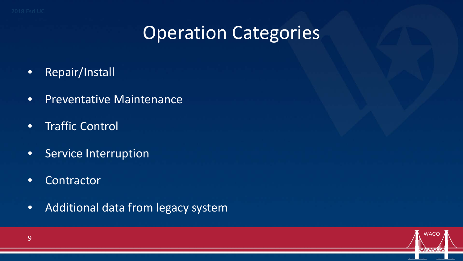## **Operation Categories**

- Repair/Install
- Preventative Maintenance
- Traffic Control
- Service Interruption
- Contractor
- Additional data from legacy system

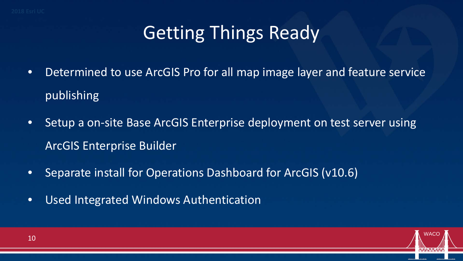# Getting Things Ready

- Determined to use ArcGIS Pro for all map image layer and feature service publishing
- Setup a on-site Base ArcGIS Enterprise deployment on test server using ArcGIS Enterprise Builder
- Separate install for Operations Dashboard for ArcGIS (v10.6)
- Used Integrated Windows Authentication

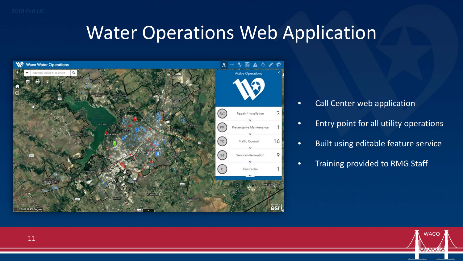#### Water Operations Web Application



- Call Center web application
- Entry point for all utility operations
- Built using editable feature service
- Training provided to RMG Staff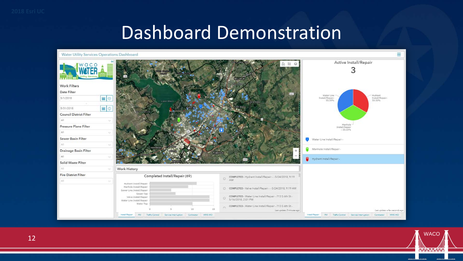#### **Dashboard Demonstration**



**WACO** 

**WAIA AAAAANAM**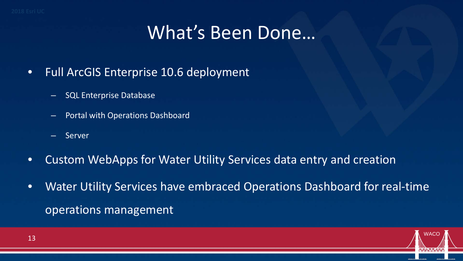#### What's Been Done…

- Full ArcGIS Enterprise 10.6 deployment
	- SQL Enterprise Database
	- Portal with Operations Dashboard
	- Server
- Custom WebApps for Water Utility Services data entry and creation
- Water Utility Services have embraced Operations Dashboard for real-time operations management

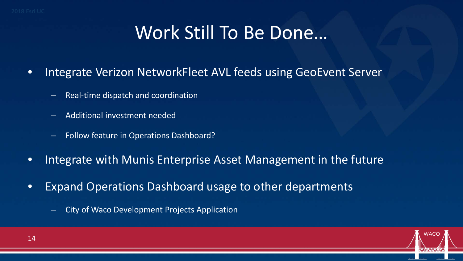## Work Still To Be Done…

- Integrate Verizon NetworkFleet AVL feeds using GeoEvent Server
	- Real-time dispatch and coordination
	- Additional investment needed
	- Follow feature in Operations Dashboard?
- Integrate with Munis Enterprise Asset Management in the future
- Expand Operations Dashboard usage to other departments
	- City of Waco Development Projects Application